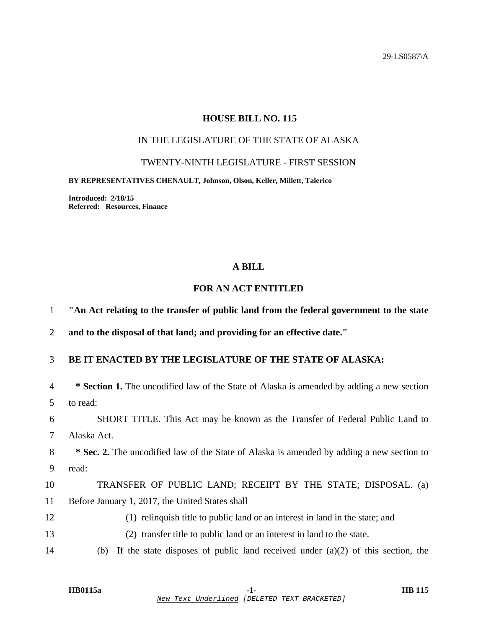29-LS0587\A

## **HOUSE BILL NO. 115**

# IN THE LEGISLATURE OF THE STATE OF ALASKA

### TWENTY-NINTH LEGISLATURE - FIRST SESSION

#### **BY REPRESENTATIVES CHENAULT, Johnson, Olson, Keller, Millett, Talerico**

**Introduced: 2/18/15 Referred: Resources, Finance** 

### **A BILL**

## **FOR AN ACT ENTITLED**

1 **"An Act relating to the transfer of public land from the federal government to the state** 

2 **and to the disposal of that land; and providing for an effective date."** 

## 3 **BE IT ENACTED BY THE LEGISLATURE OF THE STATE OF ALASKA:**

| $\overline{4}$ | <b>* Section 1.</b> The uncodified law of the State of Alaska is amended by adding a new section |
|----------------|--------------------------------------------------------------------------------------------------|
| 5              | to read:                                                                                         |
| 6              | SHORT TITLE. This Act may be known as the Transfer of Federal Public Land to                     |
| 7              | Alaska Act.                                                                                      |
| 8              | <b>* Sec. 2.</b> The uncodified law of the State of Alaska is amended by adding a new section to |
| 9              | read:                                                                                            |
| 10             | TRANSFER OF PUBLIC LAND; RECEIPT BY THE STATE; DISPOSAL. (a)                                     |
| 11             | Before January 1, 2017, the United States shall                                                  |
| 12             | (1) relinquish title to public land or an interest in land in the state; and                     |
| 13             | (2) transfer title to public land or an interest in land to the state.                           |
|                |                                                                                                  |

14 (b) If the state disposes of public land received under (a)(2) of this section, the